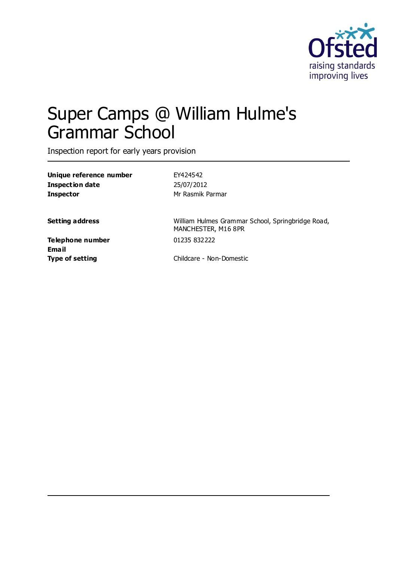

# Super Camps @ William Hulme's Grammar School

Inspection report for early years provision

| Unique reference number | FY424542                                                                 |
|-------------------------|--------------------------------------------------------------------------|
| <b>Inspection date</b>  | 25/07/2012                                                               |
| Inspector               | Mr Rasmik Parmar                                                         |
| <b>Setting address</b>  | William Hulmes Grammar School, Springbridge Road,<br>MANCHESTER, M16 8PR |
| Telephone number        | 01235 832222                                                             |
| Email                   |                                                                          |
| Type of setting         | Childcare - Non-Domestic                                                 |
|                         |                                                                          |
|                         |                                                                          |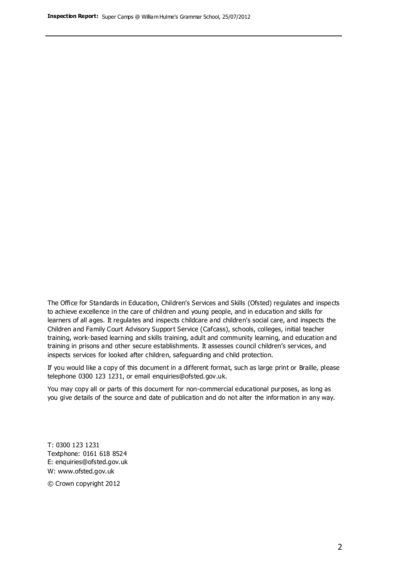The Office for Standards in Education, Children's Services and Skills (Ofsted) regulates and inspects to achieve excellence in the care of children and young people, and in education and skills for learners of all ages. It regulates and inspects childcare and children's social care, and inspects the Children and Family Court Advisory Support Service (Cafcass), schools, colleges, initial teacher training, work-based learning and skills training, adult and community learning, and education and training in prisons and other secure establishments. It assesses council children's services, and inspects services for looked after children, safeguarding and child protection.

If you would like a copy of this document in a different format, such as large print or Braille, please telephone 0300 123 1231, or email enquiries@ofsted.gov.uk.

You may copy all or parts of this document for non-commercial educational purposes, as long as you give details of the source and date of publication and do not alter the information in any way.

T: 0300 123 1231 Textphone: 0161 618 8524 E: enquiries@ofsted.gov.uk W: [www.ofsted.gov.uk](http://www.ofsted.gov.uk/)

© Crown copyright 2012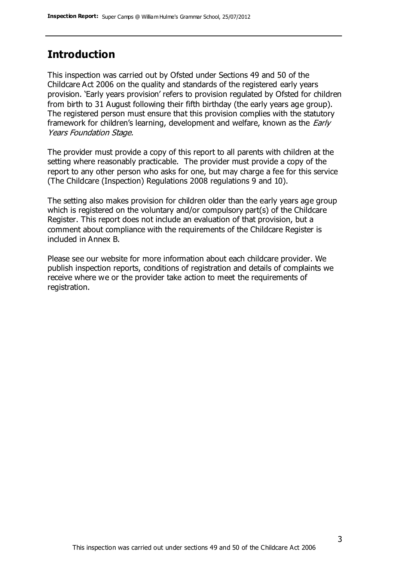### **Introduction**

This inspection was carried out by Ofsted under Sections 49 and 50 of the Childcare Act 2006 on the quality and standards of the registered early years provision. 'Early years provision' refers to provision regulated by Ofsted for children from birth to 31 August following their fifth birthday (the early years age group). The registered person must ensure that this provision complies with the statutory framework for children's learning, development and welfare, known as the *Early* Years Foundation Stage.

The provider must provide a copy of this report to all parents with children at the setting where reasonably practicable. The provider must provide a copy of the report to any other person who asks for one, but may charge a fee for this service (The Childcare (Inspection) Regulations 2008 regulations 9 and 10).

The setting also makes provision for children older than the early years age group which is registered on the voluntary and/or compulsory part(s) of the Childcare Register. This report does not include an evaluation of that provision, but a comment about compliance with the requirements of the Childcare Register is included in Annex B.

Please see our website for more information about each childcare provider. We publish inspection reports, conditions of registration and details of complaints we receive where we or the provider take action to meet the requirements of registration.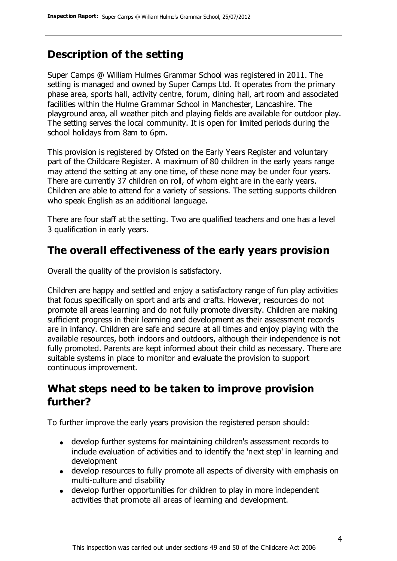# **Description of the setting**

Super Camps @ William Hulmes Grammar School was registered in 2011. The setting is managed and owned by Super Camps Ltd. It operates from the primary phase area, sports hall, activity centre, forum, dining hall, art room and associated facilities within the Hulme Grammar School in Manchester, Lancashire. The playground area, all weather pitch and playing fields are available for outdoor play. The setting serves the local community. It is open for limited periods during the school holidays from 8am to 6pm.

This provision is registered by Ofsted on the Early Years Register and voluntary part of the Childcare Register. A maximum of 80 children in the early years range may attend the setting at any one time, of these none may be under four years. There are currently 37 children on roll, of whom eight are in the early years. Children are able to attend for a variety of sessions. The setting supports children who speak English as an additional language.

There are four staff at the setting. Two are qualified teachers and one has a level 3 qualification in early years.

## **The overall effectiveness of the early years provision**

Overall the quality of the provision is satisfactory.

Children are happy and settled and enjoy a satisfactory range of fun play activities that focus specifically on sport and arts and crafts. However, resources do not promote all areas learning and do not fully promote diversity. Children are making sufficient progress in their learning and development as their assessment records are in infancy. Children are safe and secure at all times and enjoy playing with the available resources, both indoors and outdoors, although their independence is not fully promoted. Parents are kept informed about their child as necessary. There are suitable systems in place to monitor and evaluate the provision to support continuous improvement.

## **What steps need to be taken to improve provision further?**

To further improve the early years provision the registered person should:

- develop further systems for maintaining children's assessment records to include evaluation of activities and to identify the 'next step' in learning and development
- develop resources to fully promote all aspects of diversity with emphasis on multi-culture and disability
- develop further opportunities for children to play in more independent activities that promote all areas of learning and development.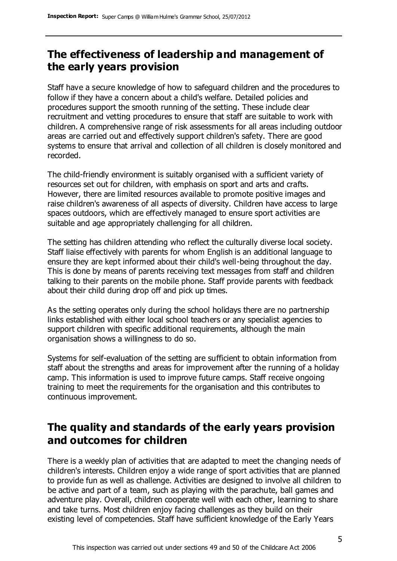# **The effectiveness of leadership and management of the early years provision**

Staff have a secure knowledge of how to safeguard children and the procedures to follow if they have a concern about a child's welfare. Detailed policies and procedures support the smooth running of the setting. These include clear recruitment and vetting procedures to ensure that staff are suitable to work with children. A comprehensive range of risk assessments for all areas including outdoor areas are carried out and effectively support children's safety. There are good systems to ensure that arrival and collection of all children is closely monitored and recorded.

The child-friendly environment is suitably organised with a sufficient variety of resources set out for children, with emphasis on sport and arts and crafts. However, there are limited resources available to promote positive images and raise children's awareness of all aspects of diversity. Children have access to large spaces outdoors, which are effectively managed to ensure sport activities are suitable and age appropriately challenging for all children.

The setting has children attending who reflect the culturally diverse local society. Staff liaise effectively with parents for whom English is an additional language to ensure they are kept informed about their child's well-being throughout the day. This is done by means of parents receiving text messages from staff and children talking to their parents on the mobile phone. Staff provide parents with feedback about their child during drop off and pick up times.

As the setting operates only during the school holidays there are no partnership links established with either local school teachers or any specialist agencies to support children with specific additional requirements, although the main organisation shows a willingness to do so.

Systems for self-evaluation of the setting are sufficient to obtain information from staff about the strengths and areas for improvement after the running of a holiday camp. This information is used to improve future camps. Staff receive ongoing training to meet the requirements for the organisation and this contributes to continuous improvement.

# **The quality and standards of the early years provision and outcomes for children**

There is a weekly plan of activities that are adapted to meet the changing needs of children's interests. Children enjoy a wide range of sport activities that are planned to provide fun as well as challenge. Activities are designed to involve all children to be active and part of a team, such as playing with the parachute, ball games and adventure play. Overall, children cooperate well with each other, learning to share and take turns. Most children enjoy facing challenges as they build on their existing level of competencies. Staff have sufficient knowledge of the Early Years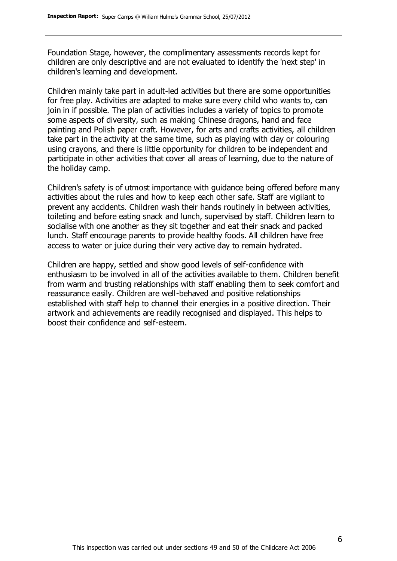Foundation Stage, however, the complimentary assessments records kept for children are only descriptive and are not evaluated to identify the 'next step' in children's learning and development.

Children mainly take part in adult-led activities but there are some opportunities for free play. Activities are adapted to make sure every child who wants to, can join in if possible. The plan of activities includes a variety of topics to promote some aspects of diversity, such as making Chinese dragons, hand and face painting and Polish paper craft. However, for arts and crafts activities, all children take part in the activity at the same time, such as playing with clay or colouring using crayons, and there is little opportunity for children to be independent and participate in other activities that cover all areas of learning, due to the nature of the holiday camp.

Children's safety is of utmost importance with guidance being offered before many activities about the rules and how to keep each other safe. Staff are vigilant to prevent any accidents. Children wash their hands routinely in between activities, toileting and before eating snack and lunch, supervised by staff. Children learn to socialise with one another as they sit together and eat their snack and packed lunch. Staff encourage parents to provide healthy foods. All children have free access to water or juice during their very active day to remain hydrated.

Children are happy, settled and show good levels of self-confidence with enthusiasm to be involved in all of the activities available to them. Children benefit from warm and trusting relationships with staff enabling them to seek comfort and reassurance easily. Children are well-behaved and positive relationships established with staff help to channel their energies in a positive direction. Their artwork and achievements are readily recognised and displayed. This helps to boost their confidence and self-esteem.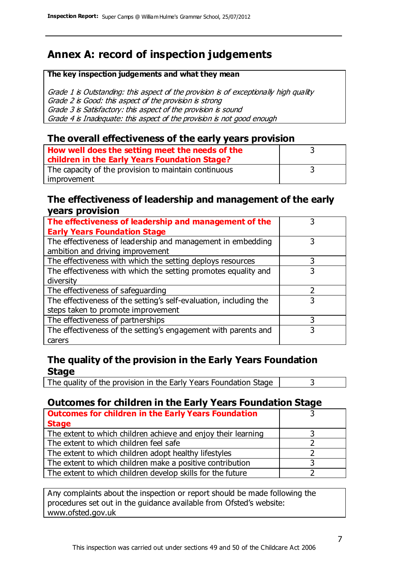# **Annex A: record of inspection judgements**

#### **The key inspection judgements and what they mean**

Grade 1 is Outstanding: this aspect of the provision is of exceptionally high quality Grade 2 is Good: this aspect of the provision is strong Grade 3 is Satisfactory: this aspect of the provision is sound Grade 4 is Inadequate: this aspect of the provision is not good enough

### **The overall effectiveness of the early years provision**

| How well does the setting meet the needs of the      |  |
|------------------------------------------------------|--|
|                                                      |  |
| children in the Early Years Foundation Stage?        |  |
| The capacity of the provision to maintain continuous |  |
| improvement                                          |  |

### **The effectiveness of leadership and management of the early years provision**

| The effectiveness of leadership and management of the             |   |
|-------------------------------------------------------------------|---|
| <b>Early Years Foundation Stage</b>                               |   |
| The effectiveness of leadership and management in embedding       |   |
| ambition and driving improvement                                  |   |
| The effectiveness with which the setting deploys resources        | 3 |
| The effectiveness with which the setting promotes equality and    | 3 |
| diversity                                                         |   |
| The effectiveness of safeguarding                                 |   |
| The effectiveness of the setting's self-evaluation, including the | 3 |
| steps taken to promote improvement                                |   |
| The effectiveness of partnerships                                 | 3 |
| The effectiveness of the setting's engagement with parents and    |   |
| carers                                                            |   |

### **The quality of the provision in the Early Years Foundation Stage**

The quality of the provision in the Early Years Foundation Stage  $\vert$  3

### **Outcomes for children in the Early Years Foundation Stage**

| <b>Outcomes for children in the Early Years Foundation</b>    |  |
|---------------------------------------------------------------|--|
| <b>Stage</b>                                                  |  |
| The extent to which children achieve and enjoy their learning |  |
| The extent to which children feel safe                        |  |
| The extent to which children adopt healthy lifestyles         |  |
| The extent to which children make a positive contribution     |  |
| The extent to which children develop skills for the future    |  |

Any complaints about the inspection or report should be made following the procedures set out in the guidance available from Ofsted's website: www.ofsted.gov.uk